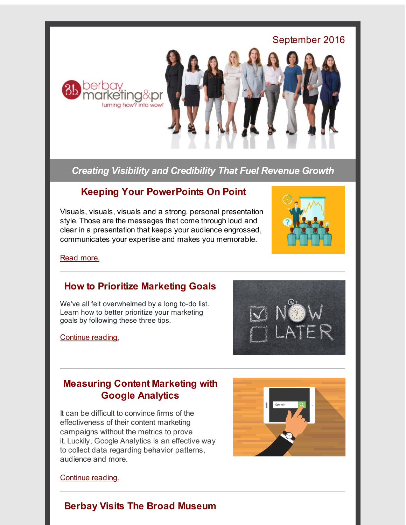

*Creating Visibility and Credibility That Fuel Revenue Growth*

## **Keeping Your PowerPoints On Point**

Visuals, visuals, visuals and a strong, personal presentation style. Those are the messages that come through loud and clear in a presentation that keeps your audience engrossed, communicates your expertise and makes you memorable.



Read [more.](http://r20.rs6.net/tn.jsp?f=001Xxhhdy-pOsyCBiGTc1vbiGkpz0TFFhHRnACV7CdWfBWdcyDlA-H4O4VKWUI9ICPIW9CxUPuiEDfOnFaKG4MZNeeT5Oem2zIeK74WJ-q4YsykVhm-eMM8O9QI9ITzkPVYLY-pVUOsLEbb4eF_yQyk0AEXRipVs23GJnLFf_Jowbe6zI0eWgA4tBdwxoozfSCz07TNLWpaYfWsFL-YoW7vFxNNogdhEyQC6aPPevjdrODhtb9f6PXJ17dmU8FVxG2JsO5AXoQb78DHTBktCQMTUQ==&c=&ch=)

## **How to Prioritize Marketing Goals**

We've all felt overwhelmed by a long to-do list. Learn how to better prioritize your marketing goals by following these three tips.

[Continue](http://r20.rs6.net/tn.jsp?f=001Xxhhdy-pOsyCBiGTc1vbiGkpz0TFFhHRnACV7CdWfBWdcyDlA-H4Oxy5zuH8cxXM_b-HHahg3Kmr3SLsu8GZONurMMkislR7YQKyE13hTT6GzUW1beizowdH_SVSP1tAS6J3YCEgzGV7yb5k2or_z8o_8462RSuWlnla6a6BYs3qs9nQyv0YE50wPOWGgAxIGmBBjM9QoSzsSnRD_rcI7Q==&c=&ch=) reading.



# **Measuring Content Marketing with Google Analytics**

It can be difficult to convince firms of the effectiveness of their content marketing campaigns without the metrics to prove it. Luckily, Google Analytics is an effective way to collect data regarding behavior patterns, audience and more.



[Continue](http://r20.rs6.net/tn.jsp?f=001Xxhhdy-pOsyCBiGTc1vbiGkpz0TFFhHRnACV7CdWfBWdcyDlA-H4OzOONGFPUiK4Dk_CH98n4M-cb2hxb7Ks17JoBoSDk-DaytLGSTWKZBZKZH-kkX-1sWt5zFl75T5uMVMytdJnAD-ZTC7NEmJU_MUQV3qKsYkvCih-NtIx3WQ1zmecKGm_JET1dgBWgT4gLSsAf-uZCl0=&c=&ch=) reading.

# **Berbay Visits The Broad Museum**